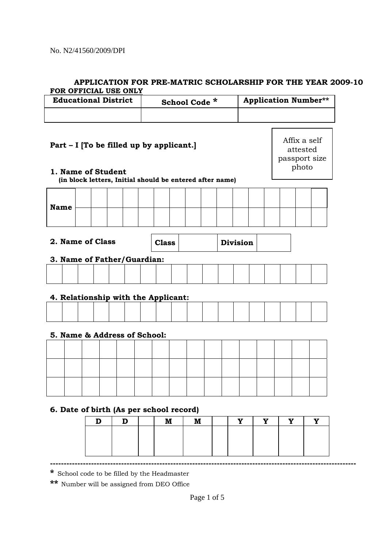## **APPLICATION FOR PRE-MATRIC SCHOLARSHIP FOR THE YEAR 2009-10 FOR OFFICIAL USE ONLY**

| <b>Educational District</b>                                    |  |  |   |  |             | School Code * |                              |                                     |  |           | <b>Application Number**</b> |                                                    |   |  |  |   |  |   |   |  |
|----------------------------------------------------------------|--|--|---|--|-------------|---------------|------------------------------|-------------------------------------|--|-----------|-----------------------------|----------------------------------------------------|---|--|--|---|--|---|---|--|
|                                                                |  |  |   |  |             |               |                              |                                     |  |           |                             |                                                    |   |  |  |   |  |   |   |  |
| Part - I [To be filled up by applicant.]<br>1. Name of Student |  |  |   |  |             |               |                              |                                     |  |           |                             | Affix a self<br>attested<br>passport size<br>photo |   |  |  |   |  |   |   |  |
| (in block letters, Initial should be entered after name)       |  |  |   |  |             |               |                              |                                     |  |           |                             |                                                    |   |  |  |   |  |   |   |  |
| <b>Name</b>                                                    |  |  |   |  |             |               |                              |                                     |  |           |                             |                                                    |   |  |  |   |  |   |   |  |
|                                                                |  |  |   |  |             |               |                              |                                     |  |           |                             |                                                    |   |  |  |   |  |   |   |  |
|                                                                |  |  |   |  |             |               |                              |                                     |  |           |                             |                                                    |   |  |  |   |  |   |   |  |
| 2. Name of Class                                               |  |  |   |  |             |               |                              | <b>Class</b><br><b>Division</b>     |  |           |                             |                                                    |   |  |  |   |  |   |   |  |
| 3. Name of Father/Guardian:                                    |  |  |   |  |             |               |                              |                                     |  |           |                             |                                                    |   |  |  |   |  |   |   |  |
|                                                                |  |  |   |  |             |               |                              |                                     |  |           |                             |                                                    |   |  |  |   |  |   |   |  |
|                                                                |  |  |   |  |             |               |                              |                                     |  |           |                             |                                                    |   |  |  |   |  |   |   |  |
|                                                                |  |  |   |  |             |               |                              | 4. Relationship with the Applicant: |  |           |                             |                                                    |   |  |  |   |  |   |   |  |
|                                                                |  |  |   |  |             |               |                              |                                     |  |           |                             |                                                    |   |  |  |   |  |   |   |  |
|                                                                |  |  |   |  |             |               | 5. Name & Address of School: |                                     |  |           |                             |                                                    |   |  |  |   |  |   |   |  |
|                                                                |  |  |   |  |             |               |                              |                                     |  |           |                             |                                                    |   |  |  |   |  |   |   |  |
|                                                                |  |  |   |  |             |               |                              |                                     |  |           |                             |                                                    |   |  |  |   |  |   |   |  |
|                                                                |  |  |   |  |             |               |                              |                                     |  |           |                             |                                                    |   |  |  |   |  |   |   |  |
|                                                                |  |  |   |  |             |               |                              |                                     |  |           |                             |                                                    |   |  |  |   |  |   |   |  |
| 6. Date of birth (As per school record)                        |  |  |   |  |             |               |                              |                                     |  |           |                             |                                                    |   |  |  |   |  |   |   |  |
|                                                                |  |  | D |  | $\mathbf D$ |               |                              | $\mathbf M$                         |  | ${\bf M}$ |                             |                                                    | Y |  |  | Y |  | Y | Y |  |
|                                                                |  |  |   |  |             |               |                              |                                     |  |           |                             |                                                    |   |  |  |   |  |   |   |  |
|                                                                |  |  |   |  |             |               |                              |                                     |  |           |                             |                                                    |   |  |  |   |  |   |   |  |

**\*** School code to be filled by the Headmaster

**\*\*** Number will be assigned from DEO Office

**----------------------------------------------------------------------------------------------------------------**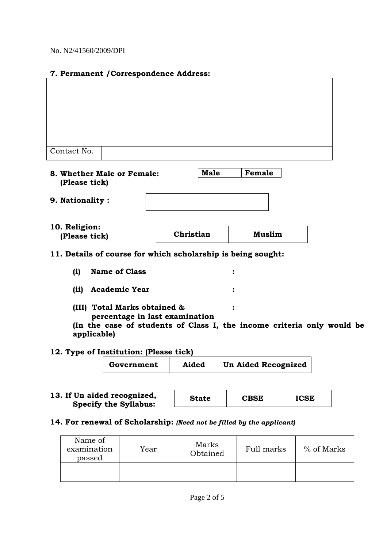|                                                                                                                         | 7. Permanent / Correspondence Address: |           |                                                              |  |  |  |  |  |  |
|-------------------------------------------------------------------------------------------------------------------------|----------------------------------------|-----------|--------------------------------------------------------------|--|--|--|--|--|--|
|                                                                                                                         |                                        |           |                                                              |  |  |  |  |  |  |
|                                                                                                                         |                                        |           |                                                              |  |  |  |  |  |  |
|                                                                                                                         |                                        |           |                                                              |  |  |  |  |  |  |
|                                                                                                                         |                                        |           |                                                              |  |  |  |  |  |  |
|                                                                                                                         |                                        |           |                                                              |  |  |  |  |  |  |
| Contact No.                                                                                                             |                                        |           |                                                              |  |  |  |  |  |  |
|                                                                                                                         |                                        |           |                                                              |  |  |  |  |  |  |
| <b>Male</b><br>Female<br>8. Whether Male or Female:<br>(Please tick)                                                    |                                        |           |                                                              |  |  |  |  |  |  |
|                                                                                                                         |                                        |           |                                                              |  |  |  |  |  |  |
| 9. Nationality:                                                                                                         |                                        |           |                                                              |  |  |  |  |  |  |
|                                                                                                                         |                                        |           |                                                              |  |  |  |  |  |  |
| 10. Religion:<br>(Please tick)                                                                                          |                                        | Christian | <b>Muslim</b>                                                |  |  |  |  |  |  |
|                                                                                                                         |                                        |           |                                                              |  |  |  |  |  |  |
|                                                                                                                         |                                        |           | 11. Details of course for which scholarship is being sought: |  |  |  |  |  |  |
| (i)                                                                                                                     | <b>Name of Class</b>                   |           |                                                              |  |  |  |  |  |  |
|                                                                                                                         |                                        |           |                                                              |  |  |  |  |  |  |
| <b>Academic Year</b><br>(ii)                                                                                            |                                        |           |                                                              |  |  |  |  |  |  |
| (III) Total Marks obtained &                                                                                            |                                        |           |                                                              |  |  |  |  |  |  |
| percentage in last examination<br>(In the case of students of Class I, the income criteria only would be<br>applicable) |                                        |           |                                                              |  |  |  |  |  |  |
| 12. Type of Institution: (Please tick)                                                                                  |                                        |           |                                                              |  |  |  |  |  |  |
|                                                                                                                         | Government                             | Aided     | <b>Un Aided Recognized</b>                                   |  |  |  |  |  |  |

| 13. If Un aided recognized,<br><b>Specify the Syllabus:</b> | <b>State</b> | <b>CBSE</b> | <b>ICSE</b> |
|-------------------------------------------------------------|--------------|-------------|-------------|
|                                                             |              |             |             |

# **14. For renewal of Scholarship:** *(Need not be filled by the applicant)*

| Name of<br>examination<br>passed | Year | Marks<br>Obtained | Full marks | % of Marks |  |
|----------------------------------|------|-------------------|------------|------------|--|
|                                  |      |                   |            |            |  |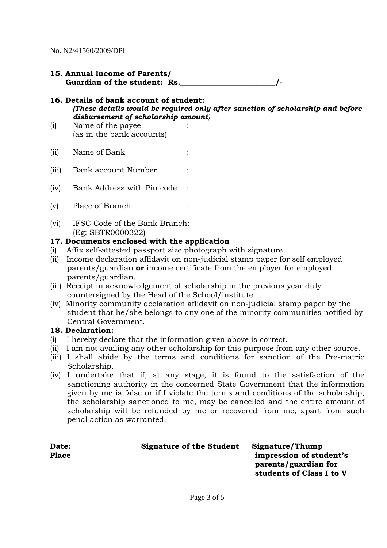- **15. Annual income of Parents/ Guardian of the student: Rs.\_\_\_\_\_\_\_\_\_\_\_\_\_\_\_\_\_\_\_\_\_\_\_\_\_/-**
- **16. Details of bank account of student:**  *(These details would be required only after sanction of scholarship and before disbursement of scholarship amount)*
- (i) Name of the payee (as in the bank accounts)
- (ii) Name of Bank :
- (iii) Bank account Number :
- (iv) Bank Address with Pin code :
- (v) Place of Branch :
- (vi) IFSC Code of the Bank Branch: (Eg: SBTR0000322)

### **17. Documents enclosed with the application**

- (i) Affix self-attested passport size photograph with signature
- (ii) Income declaration affidavit on non-judicial stamp paper for self employed parents/guardian **or** income certificate from the employer for employed parents/guardian.
- (iii) Receipt in acknowledgement of scholarship in the previous year duly countersigned by the Head of the School/institute.
- (iv) Minority community declaration affidavit on non-judicial stamp paper by the student that he/she belongs to any one of the minority communities notified by Central Government.

#### **18. Declaration:**

- (i) I hereby declare that the information given above is correct.
- (ii) I am not availing any other scholarship for this purpose from any other source.
- (iii) I shall abide by the terms and conditions for sanction of the Pre-matric Scholarship.
- (iv) I undertake that if, at any stage, it is found to the satisfaction of the sanctioning authority in the concerned State Government that the information given by me is false or if I violate the terms and conditions of the scholarship, the scholarship sanctioned to me, may be cancelled and the entire amount of scholarship will be refunded by me or recovered from me, apart from such penal action as warranted.

| Date:<br><b>Place</b> | <b>Signature of the Student</b> | Signature/Thump<br>impression of student's<br>parents/guardian for |
|-----------------------|---------------------------------|--------------------------------------------------------------------|

**students of Class I to V**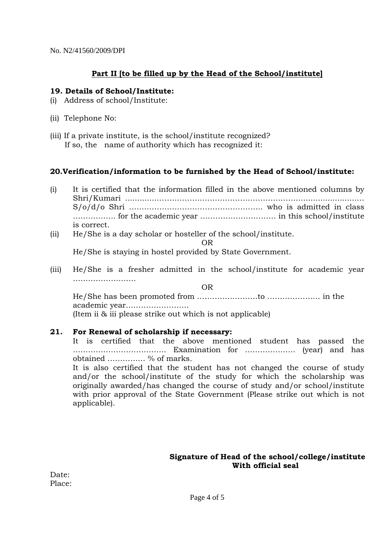# **Part II [to be filled up by the Head of the School/institute]**

#### **19. Details of School/Institute:**

- (i) Address of school/Institute:
- (ii) Telephone No:
- (iii) If a private institute, is the school/institute recognized? If so, the name of authority which has recognized it:

### **20.Verification/information to be furnished by the Head of School/institute:**

- (i) It is certified that the information filled in the above mentioned columns by Shri/Kumari .............………………….………………………………......................… S/o/d/o Shri …………………………………………….. who is admitted in class …………….. for the academic year ………………………… in this school/institute is correct.
- (ii) He/She is a day scholar or hosteller of the school/institute.

OR

He/She is staying in hostel provided by State Government.

(iii) He/She is a fresher admitted in the school/institute for academic year …………………….

OR

 He/She has been promoted from ……………………to ………………… in the academic year……………………. (Item ii & iii please strike out which is not applicable)

**21. For Renewal of scholarship if necessary:**  It is certified that the above mentioned student has passed the ………………………………. Examination for ……………….. (year) and has obtained …………… % of marks.

 It is also certified that the student has not changed the course of study and/or the school/institute of the study for which the scholarship was originally awarded/has changed the course of study and/or school/institute with prior approval of the State Government (Please strike out which is not applicable).

#### **Signature of Head of the school/college/institute With official seal**

Date: Place: